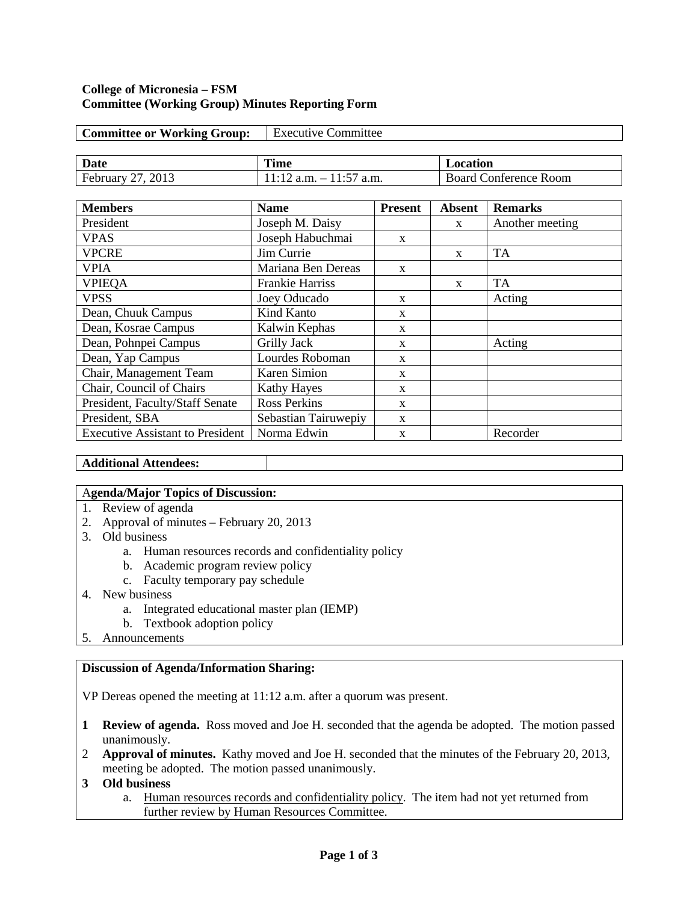#### **College of Micronesia – FSM Committee (Working Group) Minutes Reporting Form**

| <b>Committee or Working Group:</b> | <b>Executive Committee</b> |                              |  |  |
|------------------------------------|----------------------------|------------------------------|--|--|
|                                    |                            |                              |  |  |
| Date                               | Time                       | Location                     |  |  |
| February 27, 2013                  | $11:12$ a.m. $-11:57$ a.m. | <b>Board Conference Room</b> |  |  |

| <b>Members</b>                          | <b>Name</b>            | <b>Present</b><br><b>Absent</b> |              | <b>Remarks</b>  |  |
|-----------------------------------------|------------------------|---------------------------------|--------------|-----------------|--|
| President                               | Joseph M. Daisy        | $\mathbf{x}$                    |              | Another meeting |  |
| <b>VPAS</b>                             | Joseph Habuchmai       | X                               |              |                 |  |
| <b>VPCRE</b>                            | Jim Currie             |                                 | $\mathbf{x}$ | <b>TA</b>       |  |
| <b>VPIA</b>                             | Mariana Ben Dereas     | $\mathbf{x}$                    |              |                 |  |
| <b>VPIEQA</b>                           | <b>Frankie Harriss</b> |                                 | $\mathbf{x}$ | <b>TA</b>       |  |
| <b>VPSS</b>                             | Joey Oducado           | X                               |              | Acting          |  |
| Dean, Chuuk Campus                      | Kind Kanto             | X                               |              |                 |  |
| Dean, Kosrae Campus                     | Kalwin Kephas          | X                               |              |                 |  |
| Dean, Pohnpei Campus                    | <b>Grilly Jack</b>     | $\mathbf{x}$                    |              | Acting          |  |
| Dean, Yap Campus                        | Lourdes Roboman        | X                               |              |                 |  |
| Chair, Management Team                  | Karen Simion           | X                               |              |                 |  |
| Chair, Council of Chairs                | <b>Kathy Hayes</b>     | $\mathbf{x}$                    |              |                 |  |
| President, Faculty/Staff Senate         | <b>Ross Perkins</b>    | $\mathbf{x}$                    |              |                 |  |
| President, SBA                          | Sebastian Tairuwepiy   | X                               |              |                 |  |
| <b>Executive Assistant to President</b> | Norma Edwin            | X                               |              | Recorder        |  |

### **Additional Attendees:**

### A**genda/Major Topics of Discussion:**

- 1. Review of agenda
- 2. Approval of minutes February 20, 2013
- 3. Old business
	- a. Human resources records and confidentiality policy
	- b. Academic program review policy
	- c. Faculty temporary pay schedule
- 4. New business
	- a. Integrated educational master plan (IEMP)
	- b. Textbook adoption policy
- 5. Announcements

### **Discussion of Agenda/Information Sharing:**

VP Dereas opened the meeting at 11:12 a.m. after a quorum was present.

- **1 Review of agenda.** Ross moved and Joe H. seconded that the agenda be adopted. The motion passed unanimously.
- 2 **Approval of minutes.** Kathy moved and Joe H. seconded that the minutes of the February 20, 2013, meeting be adopted. The motion passed unanimously.
- **3 Old business**
	- a. Human resources records and confidentiality policy. The item had not yet returned from further review by Human Resources Committee.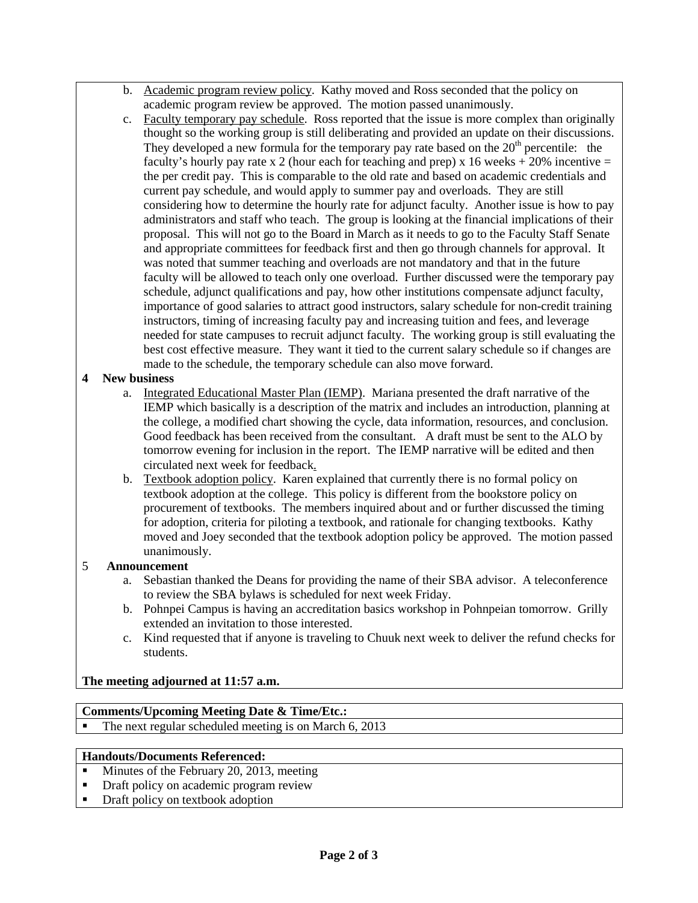- b. Academic program review policy. Kathy moved and Ross seconded that the policy on academic program review be approved. The motion passed unanimously.
- c. Faculty temporary pay schedule. Ross reported that the issue is more complex than originally thought so the working group is still deliberating and provided an update on their discussions. They developed a new formula for the temporary pay rate based on the  $20<sup>th</sup>$  percentile: the faculty's hourly pay rate x 2 (hour each for teaching and prep) x 16 weeks  $+ 20\%$  incentive = the per credit pay. This is comparable to the old rate and based on academic credentials and current pay schedule, and would apply to summer pay and overloads. They are still considering how to determine the hourly rate for adjunct faculty. Another issue is how to pay administrators and staff who teach. The group is looking at the financial implications of their proposal. This will not go to the Board in March as it needs to go to the Faculty Staff Senate and appropriate committees for feedback first and then go through channels for approval. It was noted that summer teaching and overloads are not mandatory and that in the future faculty will be allowed to teach only one overload. Further discussed were the temporary pay schedule, adjunct qualifications and pay, how other institutions compensate adjunct faculty, importance of good salaries to attract good instructors, salary schedule for non-credit training instructors, timing of increasing faculty pay and increasing tuition and fees, and leverage needed for state campuses to recruit adjunct faculty. The working group is still evaluating the best cost effective measure. They want it tied to the current salary schedule so if changes are made to the schedule, the temporary schedule can also move forward.

### **4 New business**

- a. Integrated Educational Master Plan (IEMP). Mariana presented the draft narrative of the IEMP which basically is a description of the matrix and includes an introduction, planning at the college, a modified chart showing the cycle, data information, resources, and conclusion. Good feedback has been received from the consultant. A draft must be sent to the ALO by tomorrow evening for inclusion in the report. The IEMP narrative will be edited and then circulated next week for feedback.
- b. Textbook adoption policy. Karen explained that currently there is no formal policy on textbook adoption at the college. This policy is different from the bookstore policy on procurement of textbooks. The members inquired about and or further discussed the timing for adoption, criteria for piloting a textbook, and rationale for changing textbooks. Kathy moved and Joey seconded that the textbook adoption policy be approved. The motion passed unanimously.

## 5 **Announcement**

- a. Sebastian thanked the Deans for providing the name of their SBA advisor. A teleconference to review the SBA bylaws is scheduled for next week Friday.
- b. Pohnpei Campus is having an accreditation basics workshop in Pohnpeian tomorrow. Grilly extended an invitation to those interested.
- c. Kind requested that if anyone is traveling to Chuuk next week to deliver the refund checks for students.

**The meeting adjourned at 11:57 a.m.**

# **Comments/Upcoming Meeting Date & Time/Etc.:**

The next regular scheduled meeting is on March 6, 2013

### **Handouts/Documents Referenced:**

- Minutes of the February 20, 2013, meeting
- Draft policy on academic program review
- Draft policy on textbook adoption